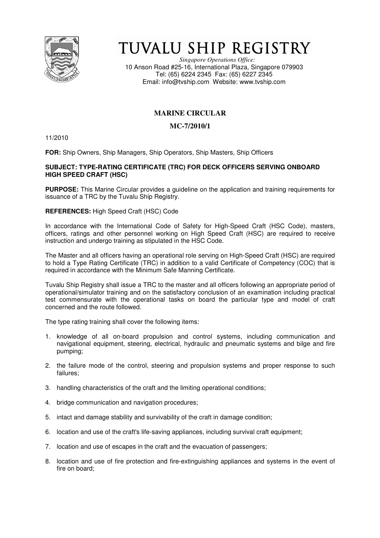

# TUVALU SHIP REGISTRY

*Singapore Operations Office:* 10 Anson Road #25-16, International Plaza, Singapore 079903 Tel: (65) 6224 2345 Fax: (65) 6227 2345 Email: info@tvship.com Website: www.tvship.com

## **MARINE CIRCULAR**

## **MC-7/2010/1**

11/2010

**FOR:** Ship Owners, Ship Managers, Ship Operators, Ship Masters, Ship Officers

### **SUBJECT: TYPE-RATING CERTIFICATE (TRC) FOR DECK OFFICERS SERVING ONBOARD HIGH SPEED CRAFT (HSC)**

**PURPOSE:** This Marine Circular provides a guideline on the application and training requirements for issuance of a TRC by the Tuvalu Ship Registry.

### **REFERENCES:** High Speed Craft (HSC) Code

In accordance with the International Code of Safety for High-Speed Craft (HSC Code), masters, officers, ratings and other personnel working on High Speed Craft (HSC) are required to receive instruction and undergo training as stipulated in the HSC Code.

The Master and all officers having an operational role serving on High-Speed Craft (HSC) are required to hold a Type Rating Certificate (TRC) in addition to a valid Certificate of Competency (COC) that is required in accordance with the Minimum Safe Manning Certificate.

Tuvalu Ship Registry shall issue a TRC to the master and all officers following an appropriate period of operational/simulator training and on the satisfactory conclusion of an examination including practical test commensurate with the operational tasks on board the particular type and model of craft concerned and the route followed.

The type rating training shall cover the following items:

- 1. knowledge of all on-board propulsion and control systems, including communication and navigational equipment, steering, electrical, hydraulic and pneumatic systems and bilge and fire pumping;
- 2. the failure mode of the control, steering and propulsion systems and proper response to such failures;
- 3. handling characteristics of the craft and the limiting operational conditions;
- 4. bridge communication and navigation procedures;
- 5. intact and damage stability and survivability of the craft in damage condition;
- 6. location and use of the craft's life-saving appliances, including survival craft equipment;
- 7. location and use of escapes in the craft and the evacuation of passengers;
- 8. location and use of fire protection and fire-extinguishing appliances and systems in the event of fire on board;